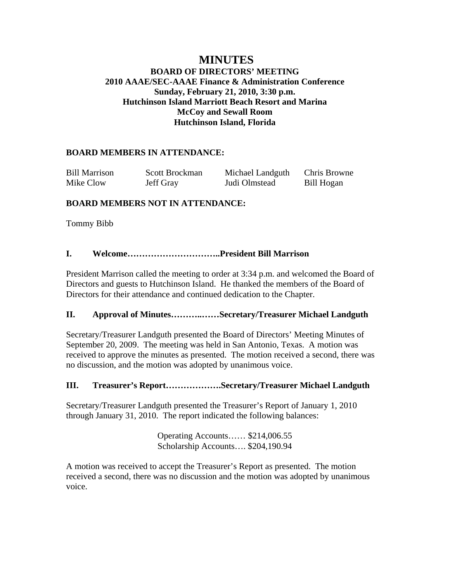# **MINUTES BOARD OF DIRECTORS' MEETING 2010 AAAE/SEC-AAAE Finance & Administration Conference Sunday, February 21, 2010, 3:30 p.m. Hutchinson Island Marriott Beach Resort and Marina McCoy and Sewall Room Hutchinson Island, Florida**

# **BOARD MEMBERS IN ATTENDANCE:**

| <b>Bill Marrison</b> | Scott Brockman | Michael Landguth | Chris Browne |
|----------------------|----------------|------------------|--------------|
| Mike Clow            | Jeff Gray      | Judi Olmstead    | Bill Hogan   |

## **BOARD MEMBERS NOT IN ATTENDANCE:**

Tommy Bibb

## **I. Welcome…………………………..President Bill Marrison**

President Marrison called the meeting to order at 3:34 p.m. and welcomed the Board of Directors and guests to Hutchinson Island. He thanked the members of the Board of Directors for their attendance and continued dedication to the Chapter.

## **II. Approval of Minutes………..……Secretary/Treasurer Michael Landguth**

Secretary/Treasurer Landguth presented the Board of Directors' Meeting Minutes of September 20, 2009. The meeting was held in San Antonio, Texas. A motion was received to approve the minutes as presented. The motion received a second, there was no discussion, and the motion was adopted by unanimous voice.

## **III. Treasurer's Report……………….Secretary/Treasurer Michael Landguth**

Secretary/Treasurer Landguth presented the Treasurer's Report of January 1, 2010 through January 31, 2010. The report indicated the following balances:

> Operating Accounts…… \$214,006.55 Scholarship Accounts…. \$204,190.94

A motion was received to accept the Treasurer's Report as presented. The motion received a second, there was no discussion and the motion was adopted by unanimous voice.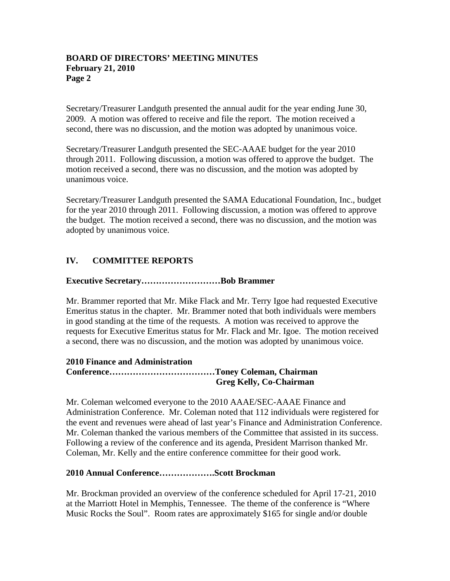Secretary/Treasurer Landguth presented the annual audit for the year ending June 30, 2009. A motion was offered to receive and file the report. The motion received a second, there was no discussion, and the motion was adopted by unanimous voice.

Secretary/Treasurer Landguth presented the SEC-AAAE budget for the year 2010 through 2011. Following discussion, a motion was offered to approve the budget. The motion received a second, there was no discussion, and the motion was adopted by unanimous voice.

Secretary/Treasurer Landguth presented the SAMA Educational Foundation, Inc., budget for the year 2010 through 2011. Following discussion, a motion was offered to approve the budget. The motion received a second, there was no discussion, and the motion was adopted by unanimous voice.

# **IV. COMMITTEE REPORTS**

### **Executive Secretary………………………Bob Brammer**

Mr. Brammer reported that Mr. Mike Flack and Mr. Terry Igoe had requested Executive Emeritus status in the chapter. Mr. Brammer noted that both individuals were members in good standing at the time of the requests. A motion was received to approve the requests for Executive Emeritus status for Mr. Flack and Mr. Igoe. The motion received a second, there was no discussion, and the motion was adopted by unanimous voice.

#### **2010 Finance and Administration Conference………………………………Toney Coleman, Chairman Greg Kelly, Co-Chairman**

Mr. Coleman welcomed everyone to the 2010 AAAE/SEC-AAAE Finance and Administration Conference. Mr. Coleman noted that 112 individuals were registered for the event and revenues were ahead of last year's Finance and Administration Conference. Mr. Coleman thanked the various members of the Committee that assisted in its success. Following a review of the conference and its agenda, President Marrison thanked Mr. Coleman, Mr. Kelly and the entire conference committee for their good work.

#### **2010 Annual Conference……………….Scott Brockman**

Mr. Brockman provided an overview of the conference scheduled for April 17-21, 2010 at the Marriott Hotel in Memphis, Tennessee. The theme of the conference is "Where Music Rocks the Soul". Room rates are approximately \$165 for single and/or double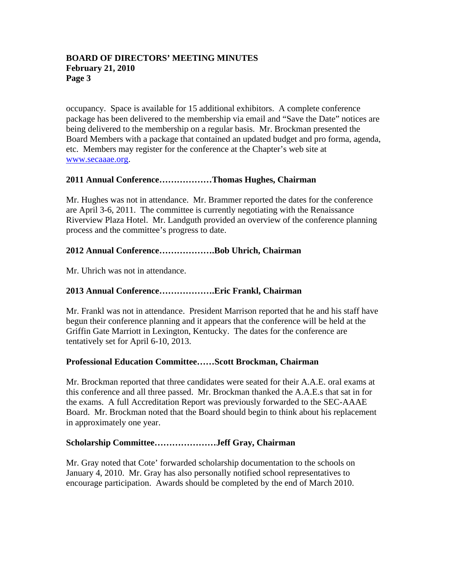occupancy. Space is available for 15 additional exhibitors. A complete conference package has been delivered to the membership via email and "Save the Date" notices are being delivered to the membership on a regular basis. Mr. Brockman presented the Board Members with a package that contained an updated budget and pro forma, agenda, etc. Members may register for the conference at the Chapter's web site at www.secaaae.org.

## **2011 Annual Conference………………Thomas Hughes, Chairman**

Mr. Hughes was not in attendance. Mr. Brammer reported the dates for the conference are April 3-6, 2011. The committee is currently negotiating with the Renaissance Riverview Plaza Hotel. Mr. Landguth provided an overview of the conference planning process and the committee's progress to date.

### **2012 Annual Conference……………….Bob Uhrich, Chairman**

Mr. Uhrich was not in attendance.

### **2013 Annual Conference……………….Eric Frankl, Chairman**

Mr. Frankl was not in attendance. President Marrison reported that he and his staff have begun their conference planning and it appears that the conference will be held at the Griffin Gate Marriott in Lexington, Kentucky. The dates for the conference are tentatively set for April 6-10, 2013.

#### **Professional Education Committee……Scott Brockman, Chairman**

Mr. Brockman reported that three candidates were seated for their A.A.E. oral exams at this conference and all three passed. Mr. Brockman thanked the A.A.E.s that sat in for the exams. A full Accreditation Report was previously forwarded to the SEC-AAAE Board. Mr. Brockman noted that the Board should begin to think about his replacement in approximately one year.

#### **Scholarship Committee…………………Jeff Gray, Chairman**

Mr. Gray noted that Cote' forwarded scholarship documentation to the schools on January 4, 2010. Mr. Gray has also personally notified school representatives to encourage participation. Awards should be completed by the end of March 2010.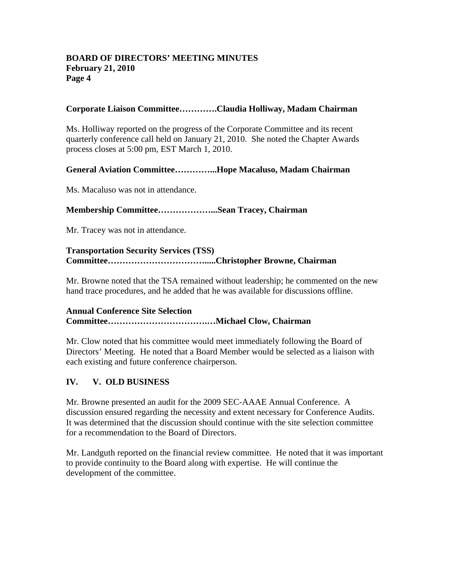### **Corporate Liaison Committee………….Claudia Holliway, Madam Chairman**

Ms. Holliway reported on the progress of the Corporate Committee and its recent quarterly conference call held on January 21, 2010. She noted the Chapter Awards process closes at 5:00 pm, EST March 1, 2010.

### **General Aviation Committee…………...Hope Macaluso, Madam Chairman**

Ms. Macaluso was not in attendance.

### **Membership Committee………………...Sean Tracey, Chairman**

Mr. Tracey was not in attendance.

### **Transportation Security Services (TSS) Committee…………………………….....Christopher Browne, Chairman**

Mr. Browne noted that the TSA remained without leadership; he commented on the new hand trace procedures, and he added that he was available for discussions offline.

### **Annual Conference Site Selection Committee…………………………….…Michael Clow, Chairman**

Mr. Clow noted that his committee would meet immediately following the Board of Directors' Meeting. He noted that a Board Member would be selected as a liaison with each existing and future conference chairperson.

## **IV. V. OLD BUSINESS**

Mr. Browne presented an audit for the 2009 SEC-AAAE Annual Conference. A discussion ensured regarding the necessity and extent necessary for Conference Audits. It was determined that the discussion should continue with the site selection committee for a recommendation to the Board of Directors.

Mr. Landguth reported on the financial review committee. He noted that it was important to provide continuity to the Board along with expertise. He will continue the development of the committee.